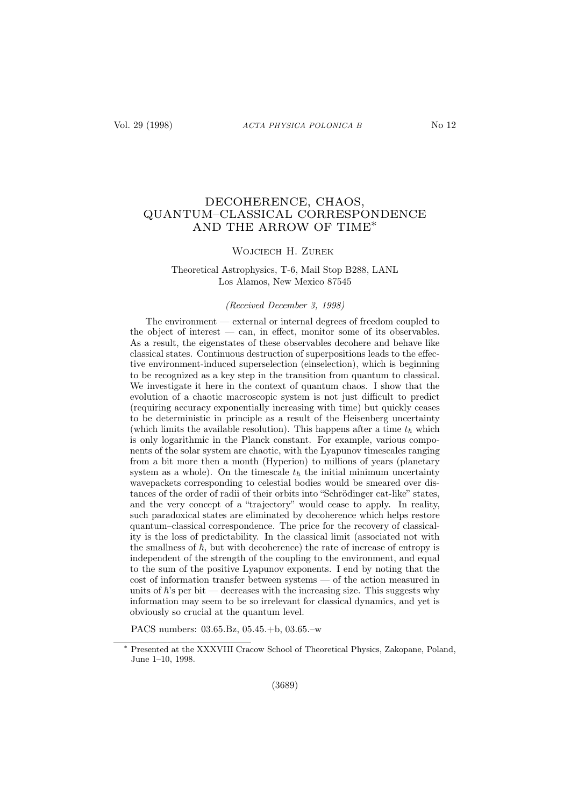# DECOHERENCE, CHAOS, QUANTUM–CLASSICAL CORRESPONDENCE AND THE ARROW OF TIME∗

#### WOJCIECH H. ZUREK

## Theoretical Astrophysics, T-6, Mail Stop B288, LANL Los Alamos, New Mexico 87545

#### (Received December 3, 1998)

The environment — external or internal degrees of freedom coupled to the object of interest — can, in effect, monitor some of its observables. As a result, the eigenstates of these observables decohere and behave like classical states. Continuous destruction of superpositions leads to the effective environment-induced superselection (einselection), which is beginning to be recognized as a key step in the transition from quantum to classical. We investigate it here in the context of quantum chaos. I show that the evolution of a chaotic macroscopic system is not just difficult to predict (requiring accuracy exponentially increasing with time) but quickly ceases to be deterministic in principle as a result of the Heisenberg uncertainty (which limits the available resolution). This happens after a time  $t_{\hbar}$  which is only logarithmic in the Planck constant. For example, various components of the solar system are chaotic, with the Lyapunov timescales ranging from a bit more then a month (Hyperion) to millions of years (planetary system as a whole). On the timescale  $t_{\hbar}$  the initial minimum uncertainty wavepackets corresponding to celestial bodies would be smeared over distances of the order of radii of their orbits into "Schrödinger cat-like" states, and the very concept of a "trajectory" would cease to apply. In reality, such paradoxical states are eliminated by decoherence which helps restore quantum–classical correspondence. The price for the recovery of classicality is the loss of predictability. In the classical limit (associated not with the smallness of  $\hbar$ , but with decoherence) the rate of increase of entropy is independent of the strength of the coupling to the environment, and equal to the sum of the positive Lyapunov exponents. I end by noting that the cost of information transfer between systems — of the action measured in units of  $\hbar$ 's per bit — decreases with the increasing size. This suggests why information may seem to be so irrelevant for classical dynamics, and yet is obviously so crucial at the quantum level.

PACS numbers: 03.65.Bz, 05.45.+b, 03.65.–w

Presented at the XXXVIII Cracow School of Theoretical Physics, Zakopane, Poland, June 1–10, 1998.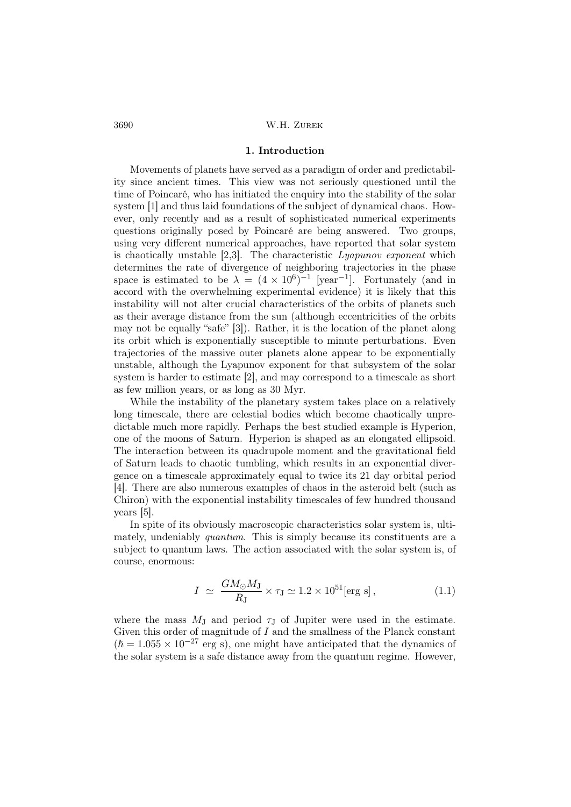#### 1. Introduction

Movements of planets have served as a paradigm of order and predictability since ancient times. This view was not seriously questioned until the time of Poincaré, who has initiated the enquiry into the stability of the solar system [1] and thus laid foundations of the subject of dynamical chaos. However, only recently and as a result of sophisticated numerical experiments questions originally posed by Poincaré are being answered. Two groups, using very different numerical approaches, have reported that solar system is chaotically unstable [2,3]. The characteristic  $Lyapunov exponent$  which determines the rate of divergence of neighboring trajectories in the phase space is estimated to be  $\lambda = (4 \times 10^6)^{-1}$  [year<sup>-1</sup>]. Fortunately (and in accord with the overwhelming experimental evidence) it is likely that this instability will not alter crucial characteristics of the orbits of planets such as their average distance from the sun (although eccentricities of the orbits may not be equally "safe" [3]). Rather, it is the location of the planet along its orbit which is exponentially susceptible to minute perturbations. Even trajectories of the massive outer planets alone appear to be exponentially unstable, although the Lyapunov exponent for that subsystem of the solar system is harder to estimate [2], and may correspond to a timescale as short as few million years, or as long as 30 Myr.

While the instability of the planetary system takes place on a relatively long timescale, there are celestial bodies which become chaotically unpredictable much more rapidly. Perhaps the best studied example is Hyperion, one of the moons of Saturn. Hyperion is shaped as an elongated ellipsoid. The interaction between its quadrupole moment and the gravitational field of Saturn leads to chaotic tumbling, which results in an exponential divergence on a timescale approximately equal to twice its 21 day orbital period [4]. There are also numerous examples of chaos in the asteroid belt (such as Chiron) with the exponential instability timescales of few hundred thousand years [5].

In spite of its obviously macroscopic characteristics solar system is, ultimately, undeniably *quantum*. This is simply because its constituents are a subject to quantum laws. The action associated with the solar system is, of course, enormous:

$$
I \simeq \frac{GM_{\odot}M_{\rm J}}{R_{\rm J}} \times \tau_{\rm J} \simeq 1.2 \times 10^{51} [\text{erg s}], \qquad (1.1)
$$

where the mass  $M_J$  and period  $\tau_J$  of Jupiter were used in the estimate. Given this order of magnitude of  $I$  and the smallness of the Planck constant  $(\hbar = 1.055 \times 10^{-27} \text{ erg s})$ , one might have anticipated that the dynamics of the solar system is a safe distance away from the quantum regime. However,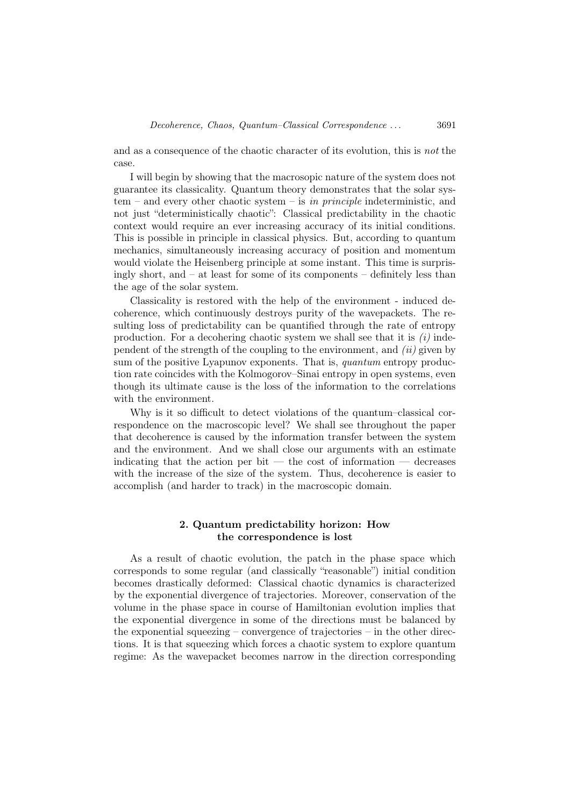and as a consequence of the chaotic character of its evolution, this is not the case.

I will begin by showing that the macrosopic nature of the system does not guarantee its classicality. Quantum theory demonstrates that the solar system – and every other chaotic system – is in principle indeterministic, and not just "deterministically chaotic": Classical predictability in the chaotic context would require an ever increasing accuracy of its initial conditions. This is possible in principle in classical physics. But, according to quantum mechanics, simultaneously increasing accuracy of position and momentum would violate the Heisenberg principle at some instant. This time is surprisingly short, and – at least for some of its components – definitely less than the age of the solar system.

Classicality is restored with the help of the environment - induced decoherence, which continuously destroys purity of the wavepackets. The resulting loss of predictability can be quantified through the rate of entropy production. For a decohering chaotic system we shall see that it is  $(i)$  independent of the strength of the coupling to the environment, and  $(ii)$  given by sum of the positive Lyapunov exponents. That is, quantum entropy production rate coincides with the Kolmogorov–Sinai entropy in open systems, even though its ultimate cause is the loss of the information to the correlations with the environment.

Why is it so difficult to detect violations of the quantum–classical correspondence on the macroscopic level? We shall see throughout the paper that decoherence is caused by the information transfer between the system and the environment. And we shall close our arguments with an estimate indicating that the action per bit — the cost of information — decreases with the increase of the size of the system. Thus, decoherence is easier to accomplish (and harder to track) in the macroscopic domain.

## 2. Quantum predictability horizon: How the correspondence is lost

As a result of chaotic evolution, the patch in the phase space which corresponds to some regular (and classically "reasonable") initial condition becomes drastically deformed: Classical chaotic dynamics is characterized by the exponential divergence of trajectories. Moreover, conservation of the volume in the phase space in course of Hamiltonian evolution implies that the exponential divergence in some of the directions must be balanced by the exponential squeezing – convergence of trajectories – in the other directions. It is that squeezing which forces a chaotic system to explore quantum regime: As the wavepacket becomes narrow in the direction corresponding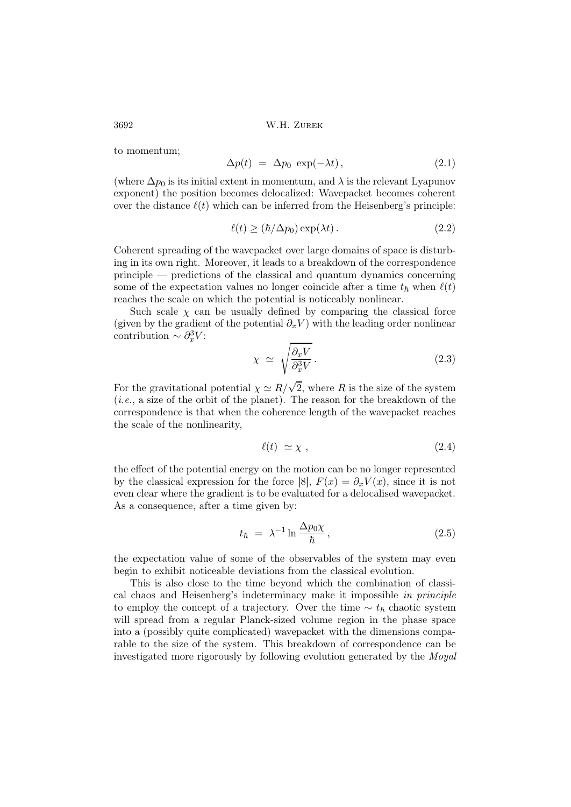to momentum;

$$
\Delta p(t) = \Delta p_0 \exp(-\lambda t), \qquad (2.1)
$$

(where  $\Delta p_0$  is its initial extent in momentum, and  $\lambda$  is the relevant Lyapunov exponent) the position becomes delocalized: Wavepacket becomes coherent over the distance  $\ell(t)$  which can be inferred from the Heisenberg's principle:

$$
\ell(t) \ge (\hbar/\Delta p_0) \exp(\lambda t). \tag{2.2}
$$

Coherent spreading of the wavepacket over large domains of space is disturbing in its own right. Moreover, it leads to a breakdown of the correspondence principle — predictions of the classical and quantum dynamics concerning some of the expectation values no longer coincide after a time  $t_h$  when  $\ell(t)$ reaches the scale on which the potential is noticeably nonlinear.

Such scale  $\chi$  can be usually defined by comparing the classical force (given by the gradient of the potential  $\partial_x V$ ) with the leading order nonlinear contribution  $\sim \partial_x^3 V$ :

$$
\chi \simeq \sqrt{\frac{\partial_x V}{\partial_x^3 V}}.\tag{2.3}
$$

For the gravitational potential  $\chi \simeq R/\sqrt{2}$ , where R is the size of the system  $(i.e., a size of the orbit of the planet)$ . The reason for the breakdown of the correspondence is that when the coherence length of the wavepacket reaches the scale of the nonlinearity,

$$
\ell(t) \simeq \chi \;, \tag{2.4}
$$

the effect of the potential energy on the motion can be no longer represented by the classical expression for the force [8],  $F(x) = \partial_x V(x)$ , since it is not even clear where the gradient is to be evaluated for a delocalised wavepacket. As a consequence, after a time given by:

$$
t_{\hbar} = \lambda^{-1} \ln \frac{\Delta p_0 \chi}{\hbar}, \qquad (2.5)
$$

the expectation value of some of the observables of the system may even begin to exhibit noticeable deviations from the classical evolution.

This is also close to the time beyond which the combination of classical chaos and Heisenberg's indeterminacy make it impossible in principle to employ the concept of a trajectory. Over the time  $\sim t_{\hbar}$  chaotic system will spread from a regular Planck-sized volume region in the phase space into a (possibly quite complicated) wavepacket with the dimensions comparable to the size of the system. This breakdown of correspondence can be investigated more rigorously by following evolution generated by the Moyal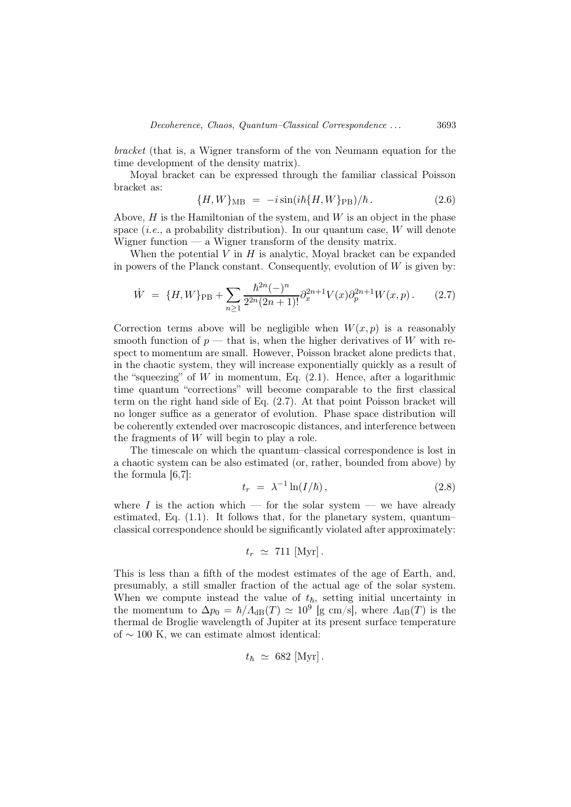bracket (that is, a Wigner transform of the von Neumann equation for the time development of the density matrix).

Moyal bracket can be expressed through the familiar classical Poisson bracket as:

$$
\{H, W\}_{\text{MB}} = -i \sin(i\hbar \{H, W\}_{\text{PB}})/\hbar. \tag{2.6}
$$

Above,  $H$  is the Hamiltonian of the system, and  $W$  is an object in the phase space  $(i.e., a probability distribution)$ . In our quantum case, W will denote Wigner function  $-$  a Wigner transform of the density matrix.

When the potential  $V$  in  $H$  is analytic, Moyal bracket can be expanded in powers of the Planck constant. Consequently, evolution of  $W$  is given by:

$$
\dot{W} = \{H, W\}_{\text{PB}} + \sum_{n \ge 1} \frac{\hbar^{2n}(-)^n}{2^{2n}(2n+1)!} \partial_x^{2n+1} V(x) \partial_p^{2n+1} W(x, p). \tag{2.7}
$$

Correction terms above will be negligible when  $W(x, p)$  is a reasonably smooth function of  $p$  — that is, when the higher derivatives of W with respect to momentum are small. However, Poisson bracket alone predicts that, in the chaotic system, they will increase exponentially quickly as a result of the "squeezing" of  $W$  in momentum, Eq.  $(2.1)$ . Hence, after a logarithmic time quantum "corrections" will become comparable to the first classical term on the right hand side of Eq. (2.7). At that point Poisson bracket will no longer suffice as a generator of evolution. Phase space distribution will be coherently extended over macroscopic distances, and interference between the fragments of W will begin to play a role.

The timescale on which the quantum–classical correspondence is lost in a chaotic system can be also estimated (or, rather, bounded from above) by the formula  $[6,7]$ :

$$
t_r = \lambda^{-1} \ln(I/\hbar), \qquad (2.8)
$$

where I is the action which — for the solar system — we have already estimated, Eq. (1.1). It follows that, for the planetary system, quantum– classical correspondence should be significantly violated after approximately:

$$
t_r \simeq 711 \, [\text{Myr}].
$$

This is less than a fifth of the modest estimates of the age of Earth, and, presumably, a still smaller fraction of the actual age of the solar system. When we compute instead the value of  $t_{\hbar}$ , setting initial uncertainty in the momentum to  $\Delta p_0 = \hbar / \Lambda_{\text{dB}}(T) \simeq 10^9$  [g cm/s], where  $\Lambda_{\text{dB}}(T)$  is the thermal de Broglie wavelength of Jupiter at its present surface temperature of ∼ 100 K, we can estimate almost identical:

$$
t_{\hbar} \simeq 682 \, [\text{Myr}].
$$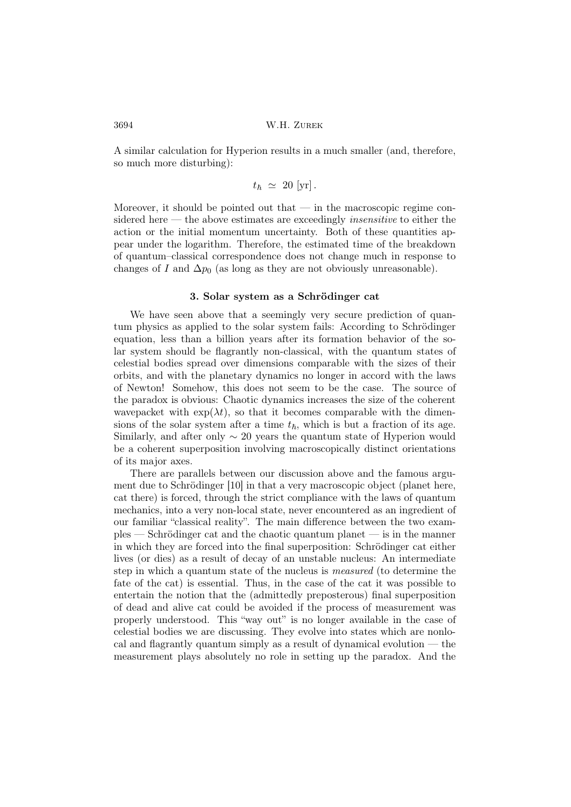A similar calculation for Hyperion results in a much smaller (and, therefore, so much more disturbing):

$$
t_{\hbar} \; \simeq \; 20 \; [\mathrm{yr}]\,.
$$

Moreover, it should be pointed out that — in the macroscopic regime considered here — the above estimates are exceedingly *insensitive* to either the action or the initial momentum uncertainty. Both of these quantities appear under the logarithm. Therefore, the estimated time of the breakdown of quantum–classical correspondence does not change much in response to changes of I and  $\Delta p_0$  (as long as they are not obviously unreasonable).

#### 3. Solar system as a Schrödinger cat

We have seen above that a seemingly very secure prediction of quantum physics as applied to the solar system fails: According to Schrödinger equation, less than a billion years after its formation behavior of the solar system should be flagrantly non-classical, with the quantum states of celestial bodies spread over dimensions comparable with the sizes of their orbits, and with the planetary dynamics no longer in accord with the laws of Newton! Somehow, this does not seem to be the case. The source of the paradox is obvious: Chaotic dynamics increases the size of the coherent wavepacket with  $\exp(\lambda t)$ , so that it becomes comparable with the dimensions of the solar system after a time  $t_{\hbar}$ , which is but a fraction of its age. Similarly, and after only  $\sim$  20 years the quantum state of Hyperion would be a coherent superposition involving macroscopically distinct orientations of its major axes.

There are parallels between our discussion above and the famous argument due to Schrödinger [10] in that a very macroscopic object (planet here, cat there) is forced, through the strict compliance with the laws of quantum mechanics, into a very non-local state, never encountered as an ingredient of our familiar "classical reality". The main difference between the two examples — Schrödinger cat and the chaotic quantum planet — is in the manner in which they are forced into the final superposition: Schrödinger cat either lives (or dies) as a result of decay of an unstable nucleus: An intermediate step in which a quantum state of the nucleus is measured (to determine the fate of the cat) is essential. Thus, in the case of the cat it was possible to entertain the notion that the (admittedly preposterous) final superposition of dead and alive cat could be avoided if the process of measurement was properly understood. This "way out" is no longer available in the case of celestial bodies we are discussing. They evolve into states which are nonlocal and flagrantly quantum simply as a result of dynamical evolution — the measurement plays absolutely no role in setting up the paradox. And the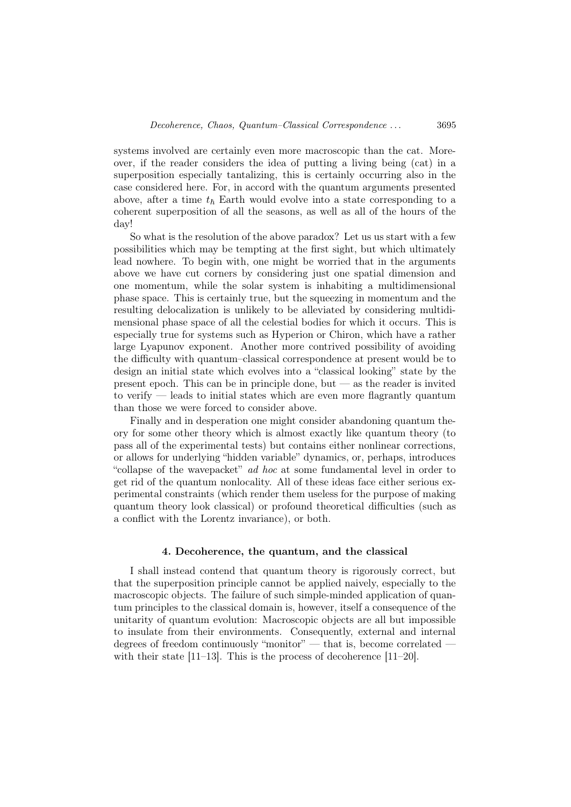systems involved are certainly even more macroscopic than the cat. Moreover, if the reader considers the idea of putting a living being (cat) in a superposition especially tantalizing, this is certainly occurring also in the case considered here. For, in accord with the quantum arguments presented above, after a time  $t_{\hbar}$  Earth would evolve into a state corresponding to a coherent superposition of all the seasons, as well as all of the hours of the day!

So what is the resolution of the above paradox? Let us us start with a few possibilities which may be tempting at the first sight, but which ultimately lead nowhere. To begin with, one might be worried that in the arguments above we have cut corners by considering just one spatial dimension and one momentum, while the solar system is inhabiting a multidimensional phase space. This is certainly true, but the squeezing in momentum and the resulting delocalization is unlikely to be alleviated by considering multidimensional phase space of all the celestial bodies for which it occurs. This is especially true for systems such as Hyperion or Chiron, which have a rather large Lyapunov exponent. Another more contrived possibility of avoiding the difficulty with quantum–classical correspondence at present would be to design an initial state which evolves into a "classical looking" state by the present epoch. This can be in principle done, but — as the reader is invited to verify — leads to initial states which are even more flagrantly quantum than those we were forced to consider above.

Finally and in desperation one might consider abandoning quantum theory for some other theory which is almost exactly like quantum theory (to pass all of the experimental tests) but contains either nonlinear corrections, or allows for underlying "hidden variable" dynamics, or, perhaps, introduces "collapse of the wavepacket" ad hoc at some fundamental level in order to get rid of the quantum nonlocality. All of these ideas face either serious experimental constraints (which render them useless for the purpose of making quantum theory look classical) or profound theoretical difficulties (such as a conflict with the Lorentz invariance), or both.

### 4. Decoherence, the quantum, and the classical

I shall instead contend that quantum theory is rigorously correct, but that the superposition principle cannot be applied naively, especially to the macroscopic objects. The failure of such simple-minded application of quantum principles to the classical domain is, however, itself a consequence of the unitarity of quantum evolution: Macroscopic objects are all but impossible to insulate from their environments. Consequently, external and internal degrees of freedom continuously "monitor" — that is, become correlated with their state [11–13]. This is the process of decoherence [11–20].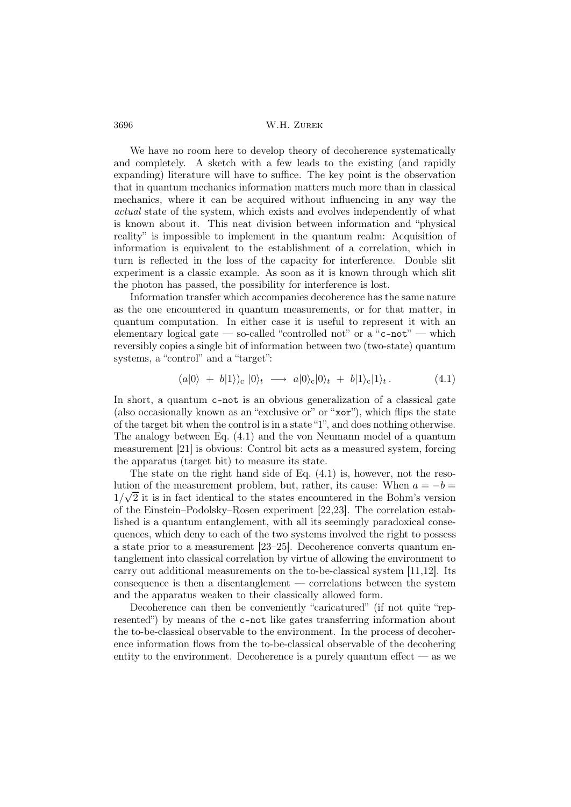We have no room here to develop theory of decoherence systematically and completely. A sketch with a few leads to the existing (and rapidly expanding) literature will have to suffice. The key point is the observation that in quantum mechanics information matters much more than in classical mechanics, where it can be acquired without influencing in any way the actual state of the system, which exists and evolves independently of what is known about it. This neat division between information and "physical reality" is impossible to implement in the quantum realm: Acquisition of information is equivalent to the establishment of a correlation, which in turn is reflected in the loss of the capacity for interference. Double slit experiment is a classic example. As soon as it is known through which slit the photon has passed, the possibility for interference is lost.

Information transfer which accompanies decoherence has the same nature as the one encountered in quantum measurements, or for that matter, in quantum computation. In either case it is useful to represent it with an elementary logical gate — so-called "controlled not" or a " $c$ -not" — which reversibly copies a single bit of information between two (two-state) quantum systems, a "control" and a "target":

$$
(a|0\rangle + b|1\rangle)_{c} |0\rangle_{t} \longrightarrow a|0\rangle_{c}|0\rangle_{t} + b|1\rangle_{c}|1\rangle_{t}. \qquad (4.1)
$$

In short, a quantum c-not is an obvious generalization of a classical gate (also occasionally known as an "exclusive or" or "xor"), which flips the state of the target bit when the control is in a state "1", and does nothing otherwise. The analogy between Eq. (4.1) and the von Neumann model of a quantum measurement [21] is obvious: Control bit acts as a measured system, forcing the apparatus (target bit) to measure its state.

The state on the right hand side of Eq.  $(4.1)$  is, however, not the resolution of the measurement problem, but, rather, its cause: When  $a = -b$  $1/\sqrt{2}$  it is in fact identical to the states encountered in the Bohm's version of the Einstein–Podolsky–Rosen experiment [22,23]. The correlation established is a quantum entanglement, with all its seemingly paradoxical consequences, which deny to each of the two systems involved the right to possess a state prior to a measurement [23–25]. Decoherence converts quantum entanglement into classical correlation by virtue of allowing the environment to carry out additional measurements on the to-be-classical system [11,12]. Its consequence is then a disentanglement — correlations between the system and the apparatus weaken to their classically allowed form.

Decoherence can then be conveniently "caricatured" (if not quite "represented") by means of the c-not like gates transferring information about the to-be-classical observable to the environment. In the process of decoherence information flows from the to-be-classical observable of the decohering entity to the environment. Decoherence is a purely quantum effect — as we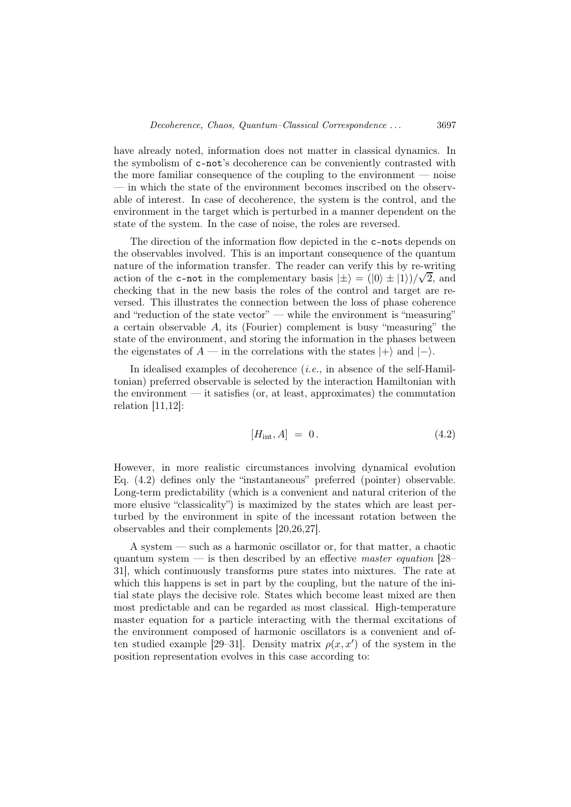have already noted, information does not matter in classical dynamics. In the symbolism of c-not's decoherence can be conveniently contrasted with the more familiar consequence of the coupling to the environment  $-$  noise — in which the state of the environment becomes inscribed on the observable of interest. In case of decoherence, the system is the control, and the environment in the target which is perturbed in a manner dependent on the state of the system. In the case of noise, the roles are reversed.

The direction of the information flow depicted in the c-nots depends on the observables involved. This is an important consequence of the quantum nature of the information transfer. The reader can verify this by re-writing action of the c-not in the complementary basis  $|\pm\rangle = (0 \pm |1\rangle)/\sqrt{2}$ , and checking that in the new basis the roles of the control and target are reversed. This illustrates the connection between the loss of phase coherence and "reduction of the state vector" — while the environment is "measuring" a certain observable A, its (Fourier) complement is busy "measuring" the state of the environment, and storing the information in the phases between the eigenstates of  $A$  — in the correlations with the states  $|+\rangle$  and  $|-\rangle$ .

In idealised examples of decoherence  $(i.e.,$  in absence of the self-Hamiltonian) preferred observable is selected by the interaction Hamiltonian with the environment  $-$  it satisfies (or, at least, approximates) the commutation relation [11,12]:

$$
[H_{\rm int}, A] = 0. \tag{4.2}
$$

However, in more realistic circumstances involving dynamical evolution Eq. (4.2) defines only the "instantaneous" preferred (pointer) observable. Long-term predictability (which is a convenient and natural criterion of the more elusive "classicality") is maximized by the states which are least perturbed by the environment in spite of the incessant rotation between the observables and their complements [20,26,27].

A system — such as a harmonic oscillator or, for that matter, a chaotic quantum system  $-$  is then described by an effective *master equation* [28– 31], which continuously transforms pure states into mixtures. The rate at which this happens is set in part by the coupling, but the nature of the initial state plays the decisive role. States which become least mixed are then most predictable and can be regarded as most classical. High-temperature master equation for a particle interacting with the thermal excitations of the environment composed of harmonic oscillators is a convenient and often studied example [29–31]. Density matrix  $\rho(x, x')$  of the system in the position representation evolves in this case according to: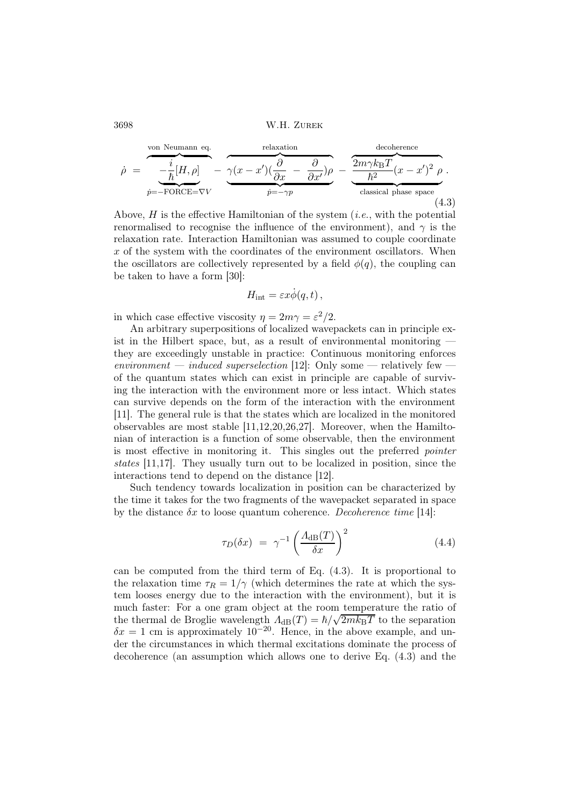$$
\dot{\rho} = \underbrace{\frac{i}{\hbar}[H,\rho]}_{\dot{p}=-\text{FORCE}= \nabla V} - \underbrace{\frac{\text{relaxation}}{\partial x} - \frac{\partial}{\partial x'}}_{\dot{p}=-\gamma p} - \underbrace{\frac{2m\gamma k_{\text{B}}T}{\hbar^2}(x-x')^2 \rho}_{\text{classical phase space}}.
$$
\n(4.3)

Above,  $H$  is the effective Hamiltonian of the system (*i.e.*, with the potential renormalised to recognise the influence of the environment), and  $\gamma$  is the relaxation rate. Interaction Hamiltonian was assumed to couple coordinate x of the system with the coordinates of the environment oscillators. When the oscillators are collectively represented by a field  $\phi(q)$ , the coupling can be taken to have a form [30]:

$$
H_{\rm int} = \varepsilon x \dot{\phi}(q, t) \,,
$$

in which case effective viscosity  $\eta = 2m\gamma = \varepsilon^2/2$ .

An arbitrary superpositions of localized wavepackets can in principle exist in the Hilbert space, but, as a result of environmental monitoring they are exceedingly unstable in practice: Continuous monitoring enforces environment — induced superselection [12]: Only some — relatively few of the quantum states which can exist in principle are capable of surviving the interaction with the environment more or less intact. Which states can survive depends on the form of the interaction with the environment [11]. The general rule is that the states which are localized in the monitored observables are most stable [11,12,20,26,27]. Moreover, when the Hamiltonian of interaction is a function of some observable, then the environment is most effective in monitoring it. This singles out the preferred pointer states [11,17]. They usually turn out to be localized in position, since the interactions tend to depend on the distance [12].

Such tendency towards localization in position can be characterized by the time it takes for the two fragments of the wavepacket separated in space by the distance  $\delta x$  to loose quantum coherence. Decoherence time [14]:

$$
\tau_D(\delta x) = \gamma^{-1} \left(\frac{\Lambda_{\text{dB}}(T)}{\delta x}\right)^2 \tag{4.4}
$$

can be computed from the third term of Eq. (4.3). It is proportional to the relaxation time  $\tau_R = 1/\gamma$  (which determines the rate at which the system looses energy due to the interaction with the environment), but it is much faster: For a one gram object at the room temperature the ratio of the thermal de Broglie wavelength  $\Lambda_{\text{dB}}(T) = \hbar / \sqrt{2m k_{\text{B}}T}$  to the separation  $\delta x = 1$  cm is approximately  $10^{-20}$ . Hence, in the above example, and under the circumstances in which thermal excitations dominate the process of decoherence (an assumption which allows one to derive Eq. (4.3) and the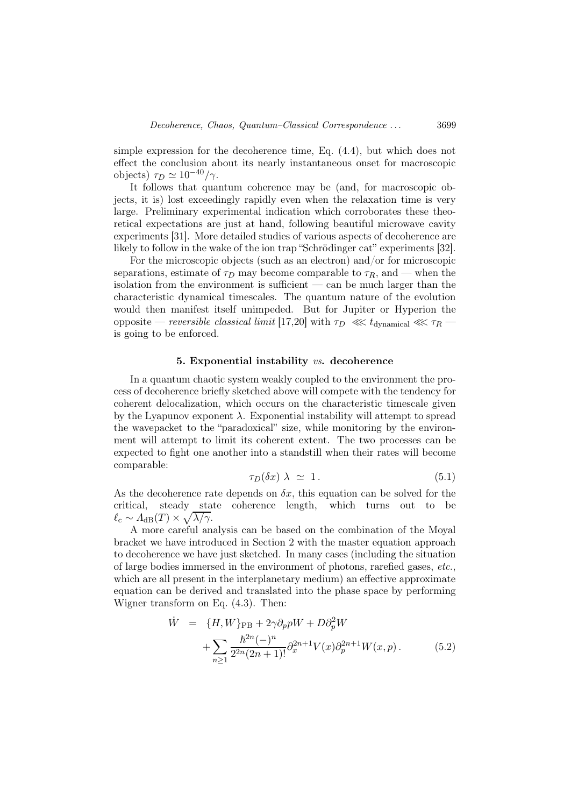simple expression for the decoherence time, Eq. (4.4), but which does not effect the conclusion about its nearly instantaneous onset for macroscopic objects)  $\tau_D \simeq 10^{-40}/\gamma$ .

It follows that quantum coherence may be (and, for macroscopic objects, it is) lost exceedingly rapidly even when the relaxation time is very large. Preliminary experimental indication which corroborates these theoretical expectations are just at hand, following beautiful microwave cavity experiments [31]. More detailed studies of various aspects of decoherence are likely to follow in the wake of the ion trap "Schrödinger cat" experiments [32].

For the microscopic objects (such as an electron) and/or for microscopic separations, estimate of  $\tau_D$  may become comparable to  $\tau_R$ , and — when the isolation from the environment is sufficient — can be much larger than the characteristic dynamical timescales. The quantum nature of the evolution would then manifest itself unimpeded. But for Jupiter or Hyperion the opposite — reversible classical limit [17,20] with  $\tau_D \ll t_{\text{dynamical}} \ll t_{\text{dynamical}}$ is going to be enforced.

#### 5. Exponential instability vs. decoherence

In a quantum chaotic system weakly coupled to the environment the process of decoherence briefly sketched above will compete with the tendency for coherent delocalization, which occurs on the characteristic timescale given by the Lyapunov exponent  $\lambda$ . Exponential instability will attempt to spread the wavepacket to the "paradoxical" size, while monitoring by the environment will attempt to limit its coherent extent. The two processes can be expected to fight one another into a standstill when their rates will become comparable:

$$
\tau_D(\delta x) \; \lambda \; \simeq \; 1 \,. \tag{5.1}
$$

As the decoherence rate depends on  $\delta x$ , this equation can be solved for the critical, steady state coherence length, which turns out to be  $\ell_{\rm c} \sim A_{\rm dB}(T) \times \sqrt{\lambda/\gamma}.$ 

A more careful analysis can be based on the combination of the Moyal bracket we have introduced in Section 2 with the master equation approach to decoherence we have just sketched. In many cases (including the situation of large bodies immersed in the environment of photons, rarefied gases, etc., which are all present in the interplanetary medium) an effective approximate equation can be derived and translated into the phase space by performing Wigner transform on Eq. (4.3). Then:

$$
\dot{W} = \{H, W\}_{\text{PB}} + 2\gamma \partial_p pW + D \partial_p^2 W \n+ \sum_{n \ge 1} \frac{\hbar^{2n}(-)^n}{2^{2n}(2n+1)!} \partial_x^{2n+1} V(x) \partial_p^{2n+1} W(x, p).
$$
\n(5.2)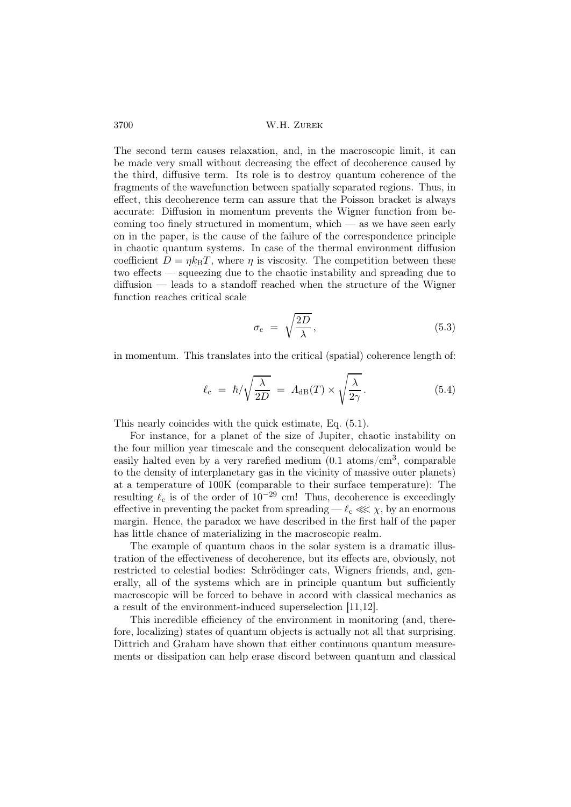The second term causes relaxation, and, in the macroscopic limit, it can be made very small without decreasing the effect of decoherence caused by the third, diffusive term. Its role is to destroy quantum coherence of the fragments of the wavefunction between spatially separated regions. Thus, in effect, this decoherence term can assure that the Poisson bracket is always accurate: Diffusion in momentum prevents the Wigner function from becoming too finely structured in momentum, which — as we have seen early on in the paper, is the cause of the failure of the correspondence principle in chaotic quantum systems. In case of the thermal environment diffusion coefficient  $D = \eta k_BT$ , where  $\eta$  is viscosity. The competition between these two effects — squeezing due to the chaotic instability and spreading due to diffusion — leads to a standoff reached when the structure of the Wigner function reaches critical scale

$$
\sigma_{\rm c} = \sqrt{\frac{2D}{\lambda}},\tag{5.3}
$$

in momentum. This translates into the critical (spatial) coherence length of:

$$
\ell_{\rm c} = \hbar / \sqrt{\frac{\lambda}{2D}} = A_{\rm dB}(T) \times \sqrt{\frac{\lambda}{2\gamma}}.
$$
\n(5.4)

This nearly coincides with the quick estimate, Eq. (5.1).

For instance, for a planet of the size of Jupiter, chaotic instability on the four million year timescale and the consequent delocalization would be easily halted even by a very rarefied medium  $(0.1 \text{ atoms/cm}^3, \text{ comparable}$ to the density of interplanetary gas in the vicinity of massive outer planets) at a temperature of 100K (comparable to their surface temperature): The resulting  $\ell_c$  is of the order of  $10^{-29}$  cm! Thus, decoherence is exceedingly effective in preventing the packet from spreading —  $\ell_c \ll \chi$ , by an enormous margin. Hence, the paradox we have described in the first half of the paper has little chance of materializing in the macroscopic realm.

The example of quantum chaos in the solar system is a dramatic illustration of the effectiveness of decoherence, but its effects are, obviously, not restricted to celestial bodies: Schrödinger cats, Wigners friends, and, generally, all of the systems which are in principle quantum but sufficiently macroscopic will be forced to behave in accord with classical mechanics as a result of the environment-induced superselection [11,12].

This incredible efficiency of the environment in monitoring (and, therefore, localizing) states of quantum objects is actually not all that surprising. Dittrich and Graham have shown that either continuous quantum measurements or dissipation can help erase discord between quantum and classical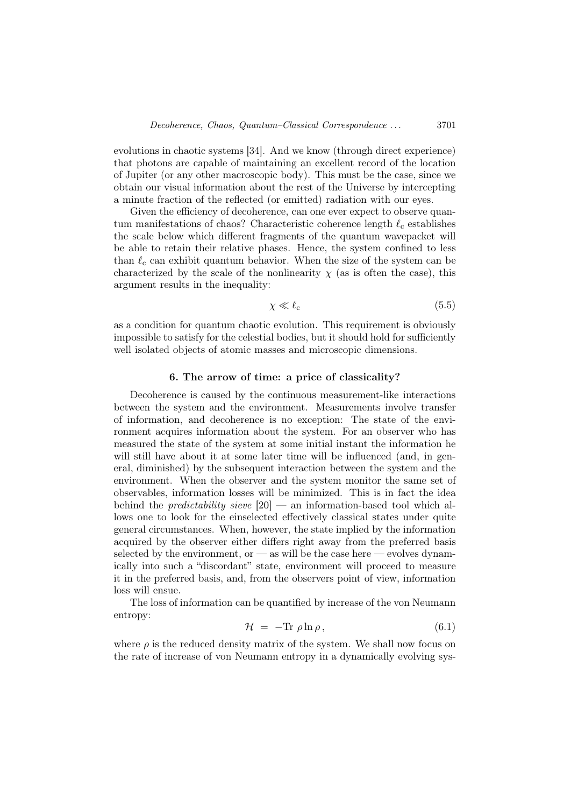evolutions in chaotic systems [34]. And we know (through direct experience) that photons are capable of maintaining an excellent record of the location of Jupiter (or any other macroscopic body). This must be the case, since we obtain our visual information about the rest of the Universe by intercepting a minute fraction of the reflected (or emitted) radiation with our eyes.

Given the efficiency of decoherence, can one ever expect to observe quantum manifestations of chaos? Characteristic coherence length  $\ell_c$  establishes the scale below which different fragments of the quantum wavepacket will be able to retain their relative phases. Hence, the system confined to less than  $\ell_c$  can exhibit quantum behavior. When the size of the system can be characterized by the scale of the nonlinearity  $\chi$  (as is often the case), this argument results in the inequality:

$$
\chi \ll \ell_{\rm c} \tag{5.5}
$$

as a condition for quantum chaotic evolution. This requirement is obviously impossible to satisfy for the celestial bodies, but it should hold for sufficiently well isolated objects of atomic masses and microscopic dimensions.

### 6. The arrow of time: a price of classicality?

Decoherence is caused by the continuous measurement-like interactions between the system and the environment. Measurements involve transfer of information, and decoherence is no exception: The state of the environment acquires information about the system. For an observer who has measured the state of the system at some initial instant the information he will still have about it at some later time will be influenced (and, in general, diminished) by the subsequent interaction between the system and the environment. When the observer and the system monitor the same set of observables, information losses will be minimized. This is in fact the idea behind the *predictability sieve*  $|20|$  — an information-based tool which allows one to look for the einselected effectively classical states under quite general circumstances. When, however, the state implied by the information acquired by the observer either differs right away from the preferred basis selected by the environment, or  $\frac{1}{1}$  as will be the case here  $\frac{1}{1}$  evolves dynamically into such a "discordant" state, environment will proceed to measure it in the preferred basis, and, from the observers point of view, information loss will ensue.

The loss of information can be quantified by increase of the von Neumann entropy:

$$
\mathcal{H} = -\text{Tr}\,\rho\ln\rho\,,\tag{6.1}
$$

where  $\rho$  is the reduced density matrix of the system. We shall now focus on the rate of increase of von Neumann entropy in a dynamically evolving sys-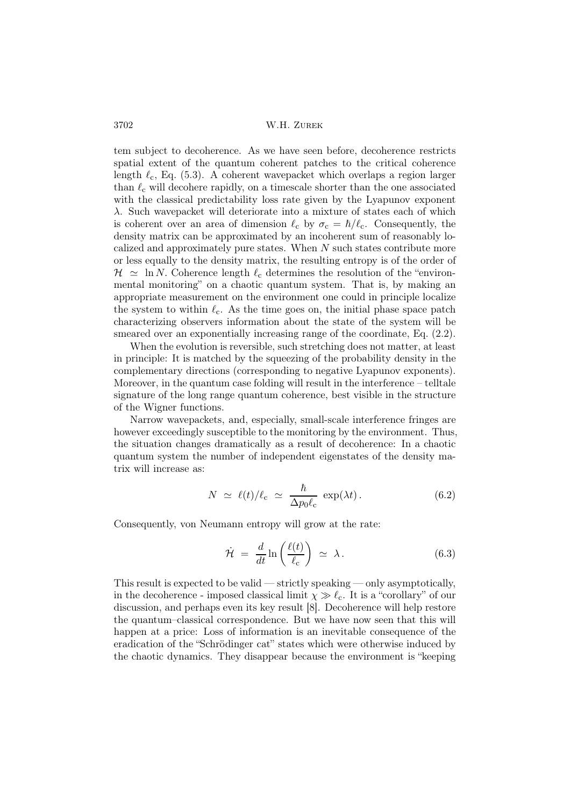tem subject to decoherence. As we have seen before, decoherence restricts spatial extent of the quantum coherent patches to the critical coherence length  $\ell_c$ , Eq. (5.3). A coherent wavepacket which overlaps a region larger than  $\ell_c$  will decohere rapidly, on a timescale shorter than the one associated with the classical predictability loss rate given by the Lyapunov exponent λ. Such wavepacket will deteriorate into a mixture of states each of which is coherent over an area of dimension  $\ell_c$  by  $\sigma_c = \hbar/\ell_c$ . Consequently, the density matrix can be approximated by an incoherent sum of reasonably localized and approximately pure states. When  $N$  such states contribute more or less equally to the density matrix, the resulting entropy is of the order of  $\mathcal{H} \simeq \ln N$ . Coherence length  $\ell_c$  determines the resolution of the "environmental monitoring" on a chaotic quantum system. That is, by making an appropriate measurement on the environment one could in principle localize the system to within  $\ell_c$ . As the time goes on, the initial phase space patch characterizing observers information about the state of the system will be smeared over an exponentially increasing range of the coordinate, Eq. (2.2).

When the evolution is reversible, such stretching does not matter, at least in principle: It is matched by the squeezing of the probability density in the complementary directions (corresponding to negative Lyapunov exponents). Moreover, in the quantum case folding will result in the interference – telltale signature of the long range quantum coherence, best visible in the structure of the Wigner functions.

Narrow wavepackets, and, especially, small-scale interference fringes are however exceedingly susceptible to the monitoring by the environment. Thus, the situation changes dramatically as a result of decoherence: In a chaotic quantum system the number of independent eigenstates of the density matrix will increase as:

$$
N \simeq \ell(t)/\ell_c \simeq \frac{\hbar}{\Delta p_0 \ell_c} \exp(\lambda t). \tag{6.2}
$$

Consequently, von Neumann entropy will grow at the rate:

$$
\dot{\mathcal{H}} = \frac{d}{dt} \ln \left( \frac{\ell(t)}{\ell_c} \right) \simeq \lambda. \tag{6.3}
$$

This result is expected to be valid — strictly speaking — only asymptotically, in the decoherence - imposed classical limit  $\chi \gg \ell_c$ . It is a "corollary" of our discussion, and perhaps even its key result [8]. Decoherence will help restore the quantum–classical correspondence. But we have now seen that this will happen at a price: Loss of information is an inevitable consequence of the eradication of the "Schrödinger cat" states which were otherwise induced by the chaotic dynamics. They disappear because the environment is "keeping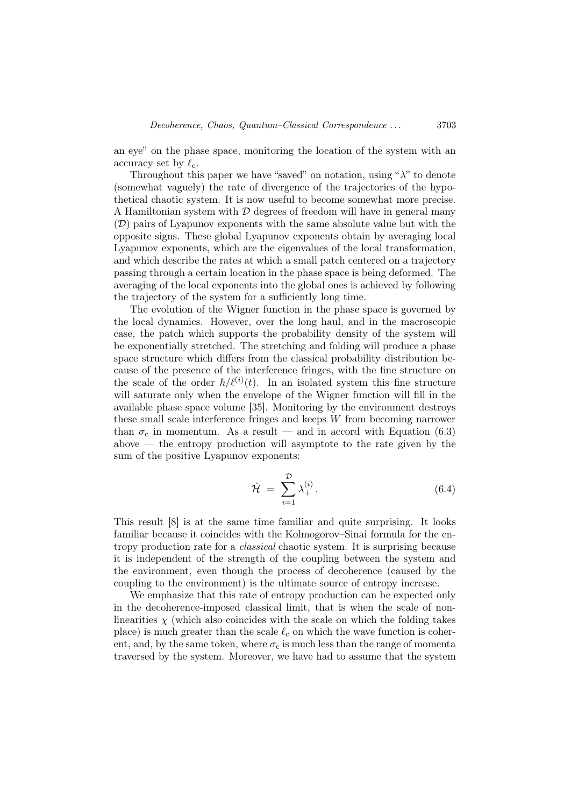an eye" on the phase space, monitoring the location of the system with an accuracy set by  $\ell_c$ .

Throughout this paper we have "saved" on notation, using " $\lambda$ " to denote (somewhat vaguely) the rate of divergence of the trajectories of the hypothetical chaotic system. It is now useful to become somewhat more precise. A Hamiltonian system with  $\mathcal D$  degrees of freedom will have in general many  $(\mathcal{D})$  pairs of Lyapunov exponents with the same absolute value but with the opposite signs. These global Lyapunov exponents obtain by averaging local Lyapunov exponents, which are the eigenvalues of the local transformation, and which describe the rates at which a small patch centered on a trajectory passing through a certain location in the phase space is being deformed. The averaging of the local exponents into the global ones is achieved by following the trajectory of the system for a sufficiently long time.

The evolution of the Wigner function in the phase space is governed by the local dynamics. However, over the long haul, and in the macroscopic case, the patch which supports the probability density of the system will be exponentially stretched. The stretching and folding will produce a phase space structure which differs from the classical probability distribution because of the presence of the interference fringes, with the fine structure on the scale of the order  $\hbar/\ell^{(i)}(t)$ . In an isolated system this fine structure will saturate only when the envelope of the Wigner function will fill in the available phase space volume [35]. Monitoring by the environment destroys these small scale interference fringes and keeps W from becoming narrower than  $\sigma_c$  in momentum. As a result — and in accord with Equation (6.3)  $above$  — the entropy production will asymptote to the rate given by the sum of the positive Lyapunov exponents:

$$
\dot{\mathcal{H}} = \sum_{i=1}^{\mathcal{D}} \lambda_+^{(i)}.
$$
\n(6.4)

This result [8] is at the same time familiar and quite surprising. It looks familiar because it coincides with the Kolmogorov–Sinai formula for the entropy production rate for a classical chaotic system. It is surprising because it is independent of the strength of the coupling between the system and the environment, even though the process of decoherence (caused by the coupling to the environment) is the ultimate source of entropy increase.

We emphasize that this rate of entropy production can be expected only in the decoherence-imposed classical limit, that is when the scale of nonlinearities  $\chi$  (which also coincides with the scale on which the folding takes place) is much greater than the scale  $\ell_c$  on which the wave function is coherent, and, by the same token, where  $\sigma_c$  is much less than the range of momenta traversed by the system. Moreover, we have had to assume that the system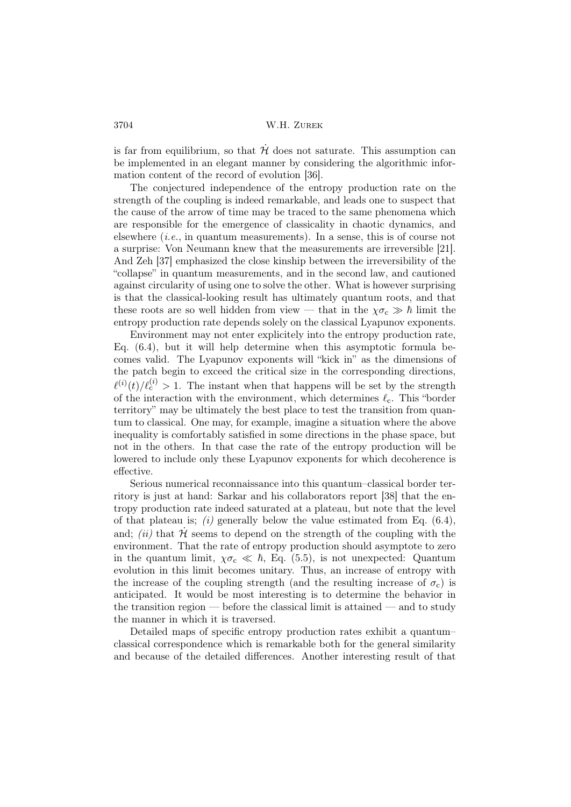is far from equilibrium, so that  $H'$  does not saturate. This assumption can be implemented in an elegant manner by considering the algorithmic information content of the record of evolution [36].

The conjectured independence of the entropy production rate on the strength of the coupling is indeed remarkable, and leads one to suspect that the cause of the arrow of time may be traced to the same phenomena which are responsible for the emergence of classicality in chaotic dynamics, and elsewhere  $(i.e., in quantum measurements)$ . In a sense, this is of course not a surprise: Von Neumann knew that the measurements are irreversible [21]. And Zeh [37] emphasized the close kinship between the irreversibility of the "collapse" in quantum measurements, and in the second law, and cautioned against circularity of using one to solve the other. What is however surprising is that the classical-looking result has ultimately quantum roots, and that these roots are so well hidden from view — that in the  $\chi \sigma_c \gg \hbar$  limit the entropy production rate depends solely on the classical Lyapunov exponents.

Environment may not enter explicitely into the entropy production rate, Eq. (6.4), but it will help determine when this asymptotic formula becomes valid. The Lyapunov exponents will "kick in" as the dimensions of the patch begin to exceed the critical size in the corresponding directions,  $\ell^{(i)}(t)/\ell_c^{(i)} > 1$ . The instant when that happens will be set by the strength of the interaction with the environment, which determines  $\ell_c$ . This "border territory" may be ultimately the best place to test the transition from quantum to classical. One may, for example, imagine a situation where the above inequality is comfortably satisfied in some directions in the phase space, but not in the others. In that case the rate of the entropy production will be lowered to include only these Lyapunov exponents for which decoherence is effective.

Serious numerical reconnaissance into this quantum–classical border territory is just at hand: Sarkar and his collaborators report [38] that the entropy production rate indeed saturated at a plateau, but note that the level of that plateau is; (i) generally below the value estimated from Eq.  $(6.4)$ , and; *(ii)* that  $\mathcal{H}$  seems to depend on the strength of the coupling with the environment. That the rate of entropy production should asymptote to zero in the quantum limit,  $\chi \sigma_c \ll \hbar$ , Eq. (5.5), is not unexpected: Quantum evolution in this limit becomes unitary. Thus, an increase of entropy with the increase of the coupling strength (and the resulting increase of  $\sigma_c$ ) is anticipated. It would be most interesting is to determine the behavior in the transition region — before the classical limit is attained — and to study the manner in which it is traversed.

Detailed maps of specific entropy production rates exhibit a quantum– classical correspondence which is remarkable both for the general similarity and because of the detailed differences. Another interesting result of that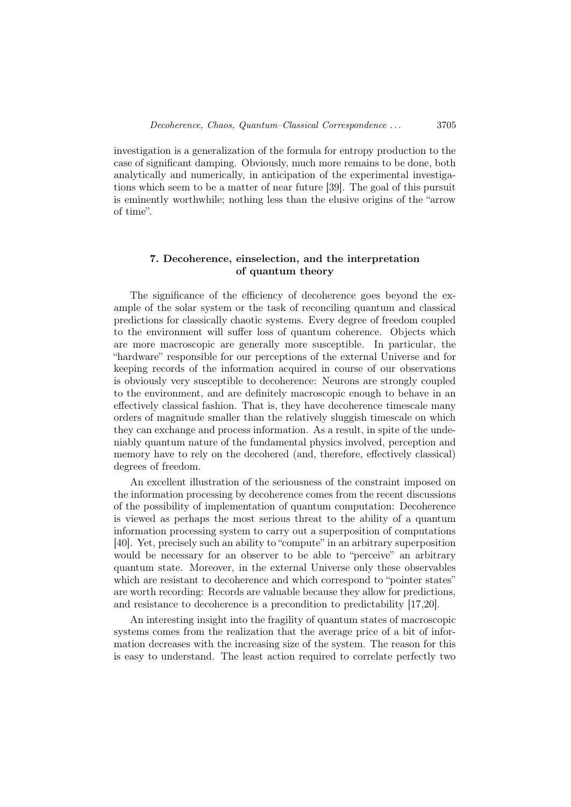investigation is a generalization of the formula for entropy production to the case of significant damping. Obviously, much more remains to be done, both analytically and numerically, in anticipation of the experimental investigations which seem to be a matter of near future [39]. The goal of this pursuit is eminently worthwhile; nothing less than the elusive origins of the "arrow of time".

## 7. Decoherence, einselection, and the interpretation of quantum theory

The significance of the efficiency of decoherence goes beyond the example of the solar system or the task of reconciling quantum and classical predictions for classically chaotic systems. Every degree of freedom coupled to the environment will suffer loss of quantum coherence. Objects which are more macroscopic are generally more susceptible. In particular, the "hardware" responsible for our perceptions of the external Universe and for keeping records of the information acquired in course of our observations is obviously very susceptible to decoherence: Neurons are strongly coupled to the environment, and are definitely macroscopic enough to behave in an effectively classical fashion. That is, they have decoherence timescale many orders of magnitude smaller than the relatively sluggish timescale on which they can exchange and process information. As a result, in spite of the undeniably quantum nature of the fundamental physics involved, perception and memory have to rely on the decohered (and, therefore, effectively classical) degrees of freedom.

An excellent illustration of the seriousness of the constraint imposed on the information processing by decoherence comes from the recent discussions of the possibility of implementation of quantum computation: Decoherence is viewed as perhaps the most serious threat to the ability of a quantum information processing system to carry out a superposition of computations [40]. Yet, precisely such an ability to "compute" in an arbitrary superposition would be necessary for an observer to be able to "perceive" an arbitrary quantum state. Moreover, in the external Universe only these observables which are resistant to decoherence and which correspond to "pointer states" are worth recording: Records are valuable because they allow for predictions, and resistance to decoherence is a precondition to predictability [17,20].

An interesting insight into the fragility of quantum states of macroscopic systems comes from the realization that the average price of a bit of information decreases with the increasing size of the system. The reason for this is easy to understand. The least action required to correlate perfectly two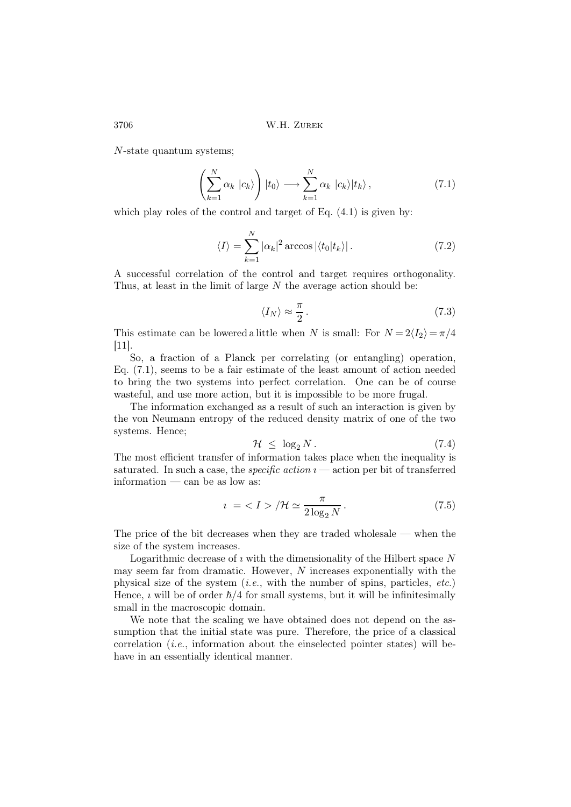N-state quantum systems;

$$
\left(\sum_{k=1}^{N} \alpha_k \, |c_k\rangle\right) |t_0\rangle \longrightarrow \sum_{k=1}^{N} \alpha_k \, |c_k\rangle |t_k\rangle \,,\tag{7.1}
$$

which play roles of the control and target of Eq.  $(4.1)$  is given by:

$$
\langle I \rangle = \sum_{k=1}^{N} |\alpha_k|^2 \arccos |\langle t_0 | t_k \rangle|. \tag{7.2}
$$

A successful correlation of the control and target requires orthogonality. Thus, at least in the limit of large  $N$  the average action should be:

$$
\langle I_N \rangle \approx \frac{\pi}{2} \,. \tag{7.3}
$$

This estimate can be lowered a little when N is small: For  $N = 2\langle I_2 \rangle = \pi/4$ [11].

So, a fraction of a Planck per correlating (or entangling) operation, Eq. (7.1), seems to be a fair estimate of the least amount of action needed to bring the two systems into perfect correlation. One can be of course wasteful, and use more action, but it is impossible to be more frugal.

The information exchanged as a result of such an interaction is given by the von Neumann entropy of the reduced density matrix of one of the two systems. Hence;

$$
\mathcal{H} \leq \log_2 N. \tag{7.4}
$$

The most efficient transfer of information takes place when the inequality is saturated. In such a case, the *specific action*  $i$  — action per bit of transferred information — can be as low as:

$$
i = \langle I \rangle / \mathcal{H} \simeq \frac{\pi}{2 \log_2 N}.
$$
 (7.5)

The price of the bit decreases when they are traded wholesale — when the size of the system increases.

Logarithmic decrease of  $\imath$  with the dimensionality of the Hilbert space N may seem far from dramatic. However,  $N$  increases exponentially with the physical size of the system (*i.e.*, with the number of spins, particles, *etc.*) Hence,  $\imath$  will be of order  $\hbar/4$  for small systems, but it will be infinitesimally small in the macroscopic domain.

We note that the scaling we have obtained does not depend on the assumption that the initial state was pure. Therefore, the price of a classical correlation (i.e., information about the einselected pointer states) will behave in an essentially identical manner.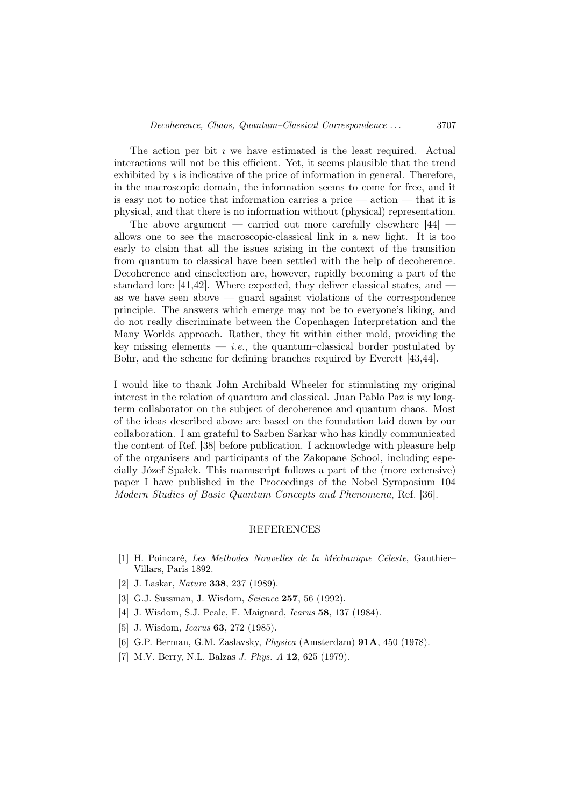The action per bit  $\imath$  we have estimated is the least required. Actual interactions will not be this efficient. Yet, it seems plausible that the trend exhibited by  $\imath$  is indicative of the price of information in general. Therefore, in the macroscopic domain, the information seems to come for free, and it is easy not to notice that information carries a price — action — that it is physical, and that there is no information without (physical) representation.

The above argument  $-$  carried out more carefully elsewhere [44] allows one to see the macroscopic-classical link in a new light. It is too early to claim that all the issues arising in the context of the transition from quantum to classical have been settled with the help of decoherence. Decoherence and einselection are, however, rapidly becoming a part of the standard lore [41,42]. Where expected, they deliver classical states, and as we have seen above — guard against violations of the correspondence principle. The answers which emerge may not be to everyone's liking, and do not really discriminate between the Copenhagen Interpretation and the Many Worlds approach. Rather, they fit within either mold, providing the key missing elements  $-$  *i.e.*, the quantum–classical border postulated by Bohr, and the scheme for defining branches required by Everett [43,44].

I would like to thank John Archibald Wheeler for stimulating my original interest in the relation of quantum and classical. Juan Pablo Paz is my longterm collaborator on the subject of decoherence and quantum chaos. Most of the ideas described above are based on the foundation laid down by our collaboration. I am grateful to Sarben Sarkar who has kindly communicated the content of Ref. [38] before publication. I acknowledge with pleasure help of the organisers and participants of the Zakopane School, including especially Józef Spałek. This manuscript follows a part of the (more extensive) paper I have published in the Proceedings of the Nobel Symposium 104 Modern Studies of Basic Quantum Concepts and Phenomena, Ref. [36].

## REFERENCES

- [1] H. Poincaré, Les Methodes Nouvelles de la Méchanique Céleste, Gauthier– Villars, Paris 1892.
- [2] J. Laskar, Nature 338, 237 (1989).
- [3] G.J. Sussman, J. Wisdom, *Science* **257**, 56 (1992).
- [4] J. Wisdom, S.J. Peale, F. Maignard, Icarus 58, 137 (1984).
- [5] J. Wisdom, *Icarus* **63**, 272 (1985).
- [6] G.P. Berman, G.M. Zaslavsky, Physica (Amsterdam) 91A, 450 (1978).
- [7] M.V. Berry, N.L. Balzas *J. Phys. A* **12**, 625 (1979).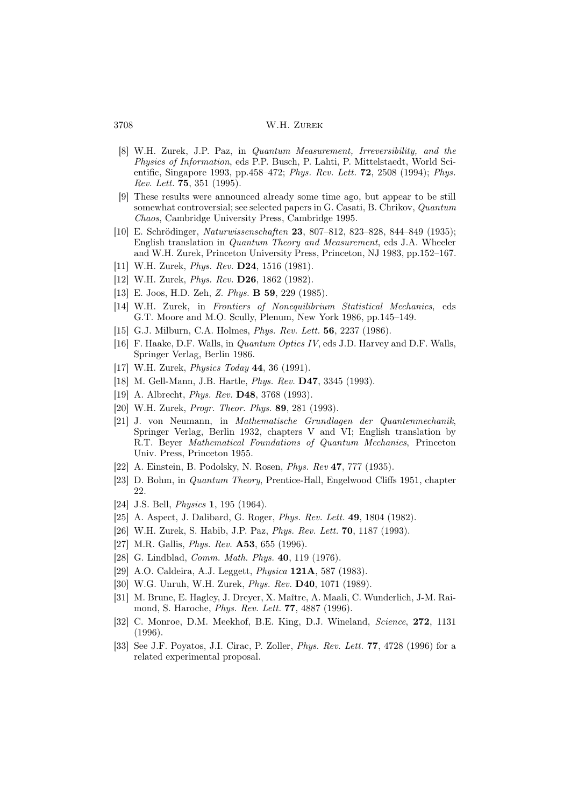- [8] W.H. Zurek, J.P. Paz, in Quantum Measurement, Irreversibility, and the Physics of Information, eds P.P. Busch, P. Lahti, P. Mittelstaedt, World Scientific, Singapore 1993, pp.458–472; Phys. Rev. Lett. 72, 2508 (1994); Phys. Rev. Lett. 75, 351 (1995).
- [9] These results were announced already some time ago, but appear to be still somewhat controversial; see selected papers in G. Casati, B. Chrikov, Quantum Chaos, Cambridge University Press, Cambridge 1995.
- [10] E. Schrödinger, Naturwissenschaften 23, 807–812, 823–828, 844–849 (1935); English translation in Quantum Theory and Measurement, eds J.A. Wheeler and W.H. Zurek, Princeton University Press, Princeton, NJ 1983, pp.152–167.
- [11] W.H. Zurek, *Phys. Rev.* **D24**, 1516 (1981).
- [12] W.H. Zurek, *Phys. Rev.* **D26**, 1862 (1982).
- [13] E. Joos, H.D. Zeh, Z. Phys. B 59, 229 (1985).
- [14] W.H. Zurek, in Frontiers of Nonequilibrium Statistical Mechanics, eds G.T. Moore and M.O. Scully, Plenum, New York 1986, pp.145–149.
- [15] G.J. Milburn, C.A. Holmes, *Phys. Rev. Lett.* **56**, 2237 (1986).
- [16] F. Haake, D.F. Walls, in Quantum Optics IV, eds J.D. Harvey and D.F. Walls, Springer Verlag, Berlin 1986.
- [17] W.H. Zurek, *Physics Today* **44**, 36 (1991).
- [18] M. Gell-Mann, J.B. Hartle, Phys. Rev. D47, 3345 (1993).
- [19] A. Albrecht, *Phys. Rev.* **D48**, 3768 (1993).
- [20] W.H. Zurek, *Progr. Theor. Phys.* **89**, 281 (1993).
- [21] J. von Neumann, in Mathematische Grundlagen der Quantenmechanik, Springer Verlag, Berlin 1932, chapters V and VI; English translation by R.T. Beyer Mathematical Foundations of Quantum Mechanics, Princeton Univ. Press, Princeton 1955.
- [22] A. Einstein, B. Podolsky, N. Rosen, Phys. Rev 47, 777 (1935).
- [23] D. Bohm, in Quantum Theory, Prentice-Hall, Engelwood Cliffs 1951, chapter 22.
- [24] J.S. Bell, *Physics* **1**, 195 (1964).
- [25] A. Aspect, J. Dalibard, G. Roger, *Phys. Rev. Lett.* **49**, 1804 (1982).
- [26] W.H. Zurek, S. Habib, J.P. Paz, *Phys. Rev. Lett.* **70**, 1187 (1993).
- [27] M.R. Gallis, *Phys. Rev.* **A53**, 655 (1996).
- [28] G. Lindblad, *Comm. Math. Phys.* **40**, 119 (1976).
- [29] A.O. Caldeira, A.J. Leggett, Physica 121A, 587 (1983).
- [30] W.G. Unruh, W.H. Zurek, *Phys. Rev.* **D40**, 1071 (1989).
- [31] M. Brune, E. Hagley, J. Dreyer, X. Maître, A. Maali, C. Wunderlich, J-M. Raimond, S. Haroche, Phys. Rev. Lett. 77, 4887 (1996).
- [32] C. Monroe, D.M. Meekhof, B.E. King, D.J. Wineland, Science, 272, 1131 (1996).
- [33] See J.F. Poyatos, J.I. Cirac, P. Zoller, *Phys. Rev. Lett.* **77**, 4728 (1996) for a related experimental proposal.